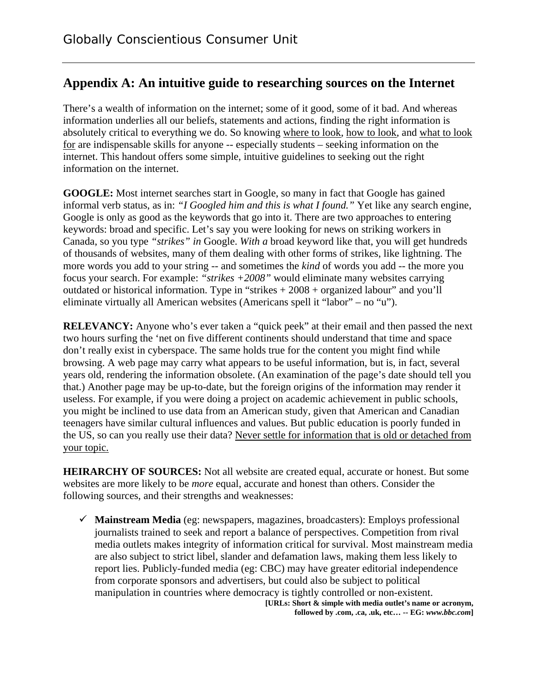## **Appendix A: An intuitive guide to researching sources on the Internet**

There's a wealth of information on the internet; some of it good, some of it bad. And whereas information underlies all our beliefs, statements and actions, finding the right information is absolutely critical to everything we do. So knowing where to look, how to look, and what to look for are indispensable skills for anyone -- especially students – seeking information on the internet. This handout offers some simple, intuitive guidelines to seeking out the right information on the internet.

**GOOGLE:** Most internet searches start in Google, so many in fact that Google has gained informal verb status, as in: *"I Googled him and this is what I found."* Yet like any search engine, Google is only as good as the keywords that go into it. There are two approaches to entering keywords: broad and specific. Let's say you were looking for news on striking workers in Canada, so you type *"strikes" in* Google. *With a* broad keyword like that, you will get hundreds of thousands of websites, many of them dealing with other forms of strikes, like lightning. The more words you add to your string -- and sometimes the *kind* of words you add -- the more you focus your search. For example: *"strikes +2008"* would eliminate many websites carrying outdated or historical information. Type in "strikes + 2008 + organized labour" and you'll eliminate virtually all American websites (Americans spell it "labor" – no "u").

**RELEVANCY:** Anyone who's ever taken a "quick peek" at their email and then passed the next two hours surfing the 'net on five different continents should understand that time and space don't really exist in cyberspace. The same holds true for the content you might find while browsing. A web page may carry what appears to be useful information, but is, in fact, several years old, rendering the information obsolete. (An examination of the page's date should tell you that.) Another page may be up-to-date, but the foreign origins of the information may render it useless. For example, if you were doing a project on academic achievement in public schools, you might be inclined to use data from an American study, given that American and Canadian teenagers have similar cultural influences and values. But public education is poorly funded in the US, so can you really use their data? Never settle for information that is old or detached from your topic.

**HEIRARCHY OF SOURCES:** Not all website are created equal, accurate or honest. But some websites are more likely to be *more* equal, accurate and honest than others. Consider the following sources, and their strengths and weaknesses:

 $\checkmark$  **Mainstream Media** (eg: newspapers, magazines, broadcasters): Employs professional journalists trained to seek and report a balance of perspectives. Competition from rival media outlets makes integrity of information critical for survival. Most mainstream media are also subject to strict libel, slander and defamation laws, making them less likely to report lies. Publicly-funded media (eg: CBC) may have greater editorial independence from corporate sponsors and advertisers, but could also be subject to political manipulation in countries where democracy is tightly controlled or non-existent. **[URLs: Short & simple with media outlet's name or acronym,** 

**followed by .com, .ca, .uk, etc… -- EG:** *www.bbc.com***]**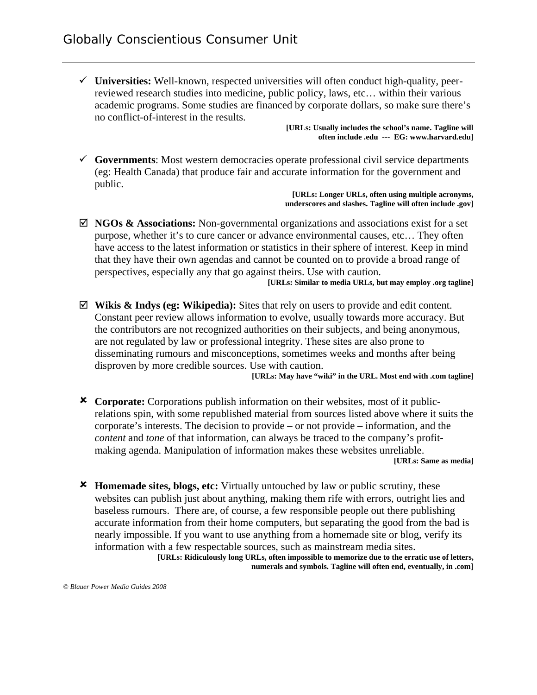9 **Universities:** Well-known, respected universities will often conduct high-quality, peerreviewed research studies into medicine, public policy, laws, etc… within their various academic programs. Some studies are financed by corporate dollars, so make sure there's no conflict-of-interest in the results.

**[URLs: Usually includes the school's name. Tagline will often include .edu --- EG: www.harvard.edu]** 

 $\checkmark$  Governments: Most western democracies operate professional civil service departments (eg: Health Canada) that produce fair and accurate information for the government and public.

**[URLs: Longer URLs, often using multiple acronyms, underscores and slashes. Tagline will often include .gov]** 

⊠ **NGOs & Associations:** Non-governmental organizations and associations exist for a set purpose, whether it's to cure cancer or advance environmental causes, etc… They often have access to the latest information or statistics in their sphere of interest. Keep in mind that they have their own agendas and cannot be counted on to provide a broad range of perspectives, especially any that go against theirs. Use with caution. **[URLs: Similar to media URLs, but may employ .org tagline]** 

; **Wikis & Indys (eg: Wikipedia):** Sites that rely on users to provide and edit content. Constant peer review allows information to evolve, usually towards more accuracy. But the contributors are not recognized authorities on their subjects, and being anonymous, are not regulated by law or professional integrity. These sites are also prone to disseminating rumours and misconceptions, sometimes weeks and months after being disproven by more credible sources. Use with caution.

**[URLs: May have "wiki" in the URL. Most end with .com tagline]** 

- 8 **Corporate:** Corporations publish information on their websites, most of it publicrelations spin, with some republished material from sources listed above where it suits the corporate's interests. The decision to provide – or not provide – information, and the *content* and *tone* of that information, can always be traced to the company's profitmaking agenda. Manipulation of information makes these websites unreliable. **[URLs: Same as media]**
- 8 **Homemade sites, blogs, etc:** Virtually untouched by law or public scrutiny, these websites can publish just about anything, making them rife with errors, outright lies and baseless rumours. There are, of course, a few responsible people out there publishing accurate information from their home computers, but separating the good from the bad is nearly impossible. If you want to use anything from a homemade site or blog, verify its information with a few respectable sources, such as mainstream media sites. **[URLs: Ridiculously long URLs, often impossible to memorize due to the erratic use of letters,**

**numerals and symbols. Tagline will often end, eventually, in .com]**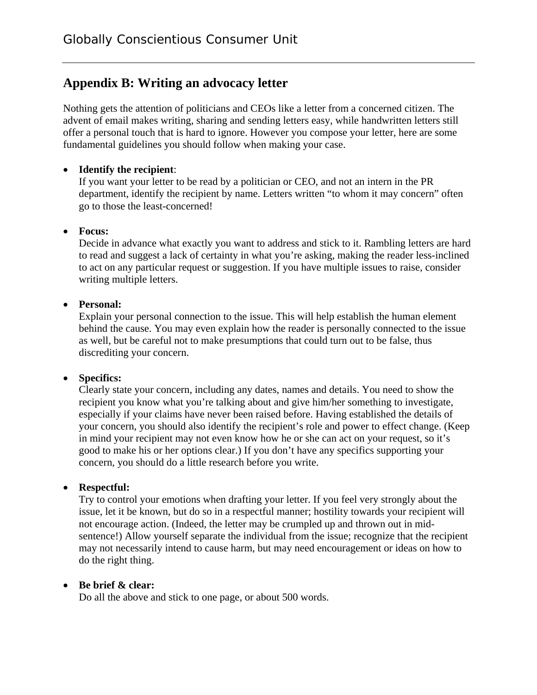## **Appendix B: Writing an advocacy letter**

Nothing gets the attention of politicians and CEOs like a letter from a concerned citizen. The advent of email makes writing, sharing and sending letters easy, while handwritten letters still offer a personal touch that is hard to ignore. However you compose your letter, here are some fundamental guidelines you should follow when making your case.

### • **Identify the recipient**:

If you want your letter to be read by a politician or CEO, and not an intern in the PR department, identify the recipient by name. Letters written "to whom it may concern" often go to those the least-concerned!

### • **Focus:**

Decide in advance what exactly you want to address and stick to it. Rambling letters are hard to read and suggest a lack of certainty in what you're asking, making the reader less-inclined to act on any particular request or suggestion. If you have multiple issues to raise, consider writing multiple letters.

### • **Personal:**

Explain your personal connection to the issue. This will help establish the human element behind the cause. You may even explain how the reader is personally connected to the issue as well, but be careful not to make presumptions that could turn out to be false, thus discrediting your concern.

### • **Specifics:**

Clearly state your concern, including any dates, names and details. You need to show the recipient you know what you're talking about and give him/her something to investigate, especially if your claims have never been raised before. Having established the details of your concern, you should also identify the recipient's role and power to effect change. (Keep in mind your recipient may not even know how he or she can act on your request, so it's good to make his or her options clear.) If you don't have any specifics supporting your concern, you should do a little research before you write.

### • **Respectful:**

Try to control your emotions when drafting your letter. If you feel very strongly about the issue, let it be known, but do so in a respectful manner; hostility towards your recipient will not encourage action. (Indeed, the letter may be crumpled up and thrown out in midsentence!) Allow yourself separate the individual from the issue; recognize that the recipient may not necessarily intend to cause harm, but may need encouragement or ideas on how to do the right thing.

### • **Be brief & clear:**

Do all the above and stick to one page, or about 500 words.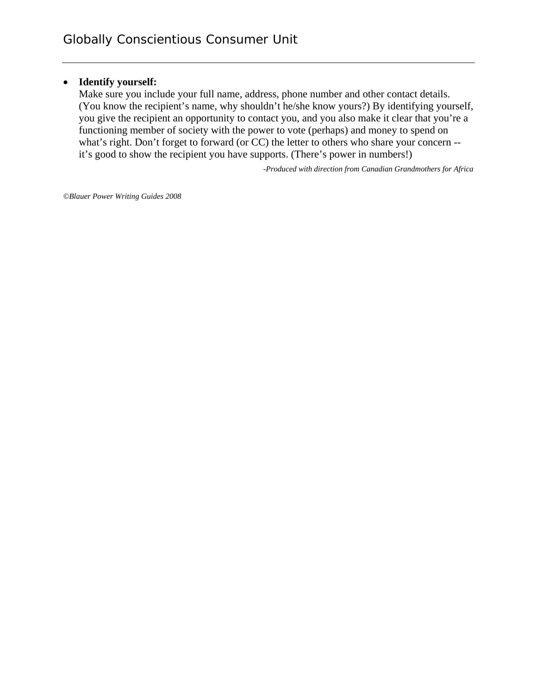#### • **Identify yourself:**

Make sure you include your full name, address, phone number and other contact details. (You know the recipient's name, why shouldn't he/she know yours?) By identifying yourself, you give the recipient an opportunity to contact you, and you also make it clear that you're a functioning member of society with the power to vote (perhaps) and money to spend on what's right. Don't forget to forward (or CC) the letter to others who share your concern - it's good to show the recipient you have supports. (There's power in numbers!)

*-Produced with direction from Canadian Grandmothers for Africa* 

*©Blauer Power Writing Guides 2008*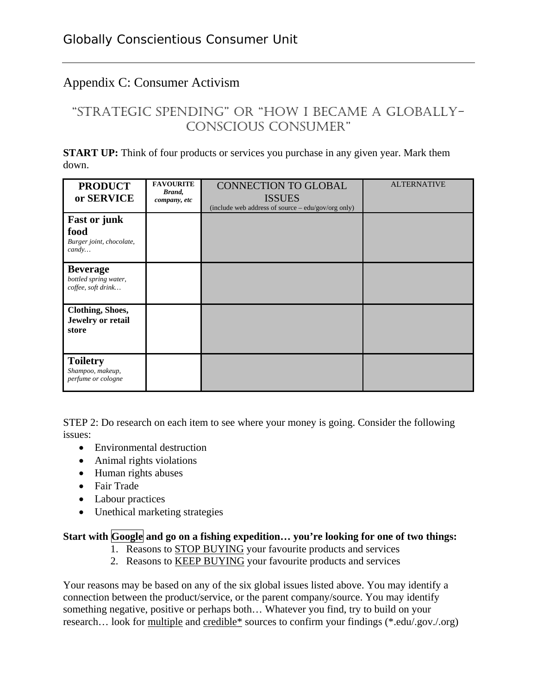# Appendix C: Consumer Activism

# "STRATEGIC SPENDING" OR "HOW I BECAME A GLOBALLY-CONSCIOUS CONSUMER"

**START UP:** Think of four products or services you purchase in any given year. Mark them down.

| <b>PRODUCT</b><br>or SERVICE                                              | <b>FAVOURITE</b><br>Brand,<br>company, etc | <b>CONNECTION TO GLOBAL</b><br><b>ISSUES</b><br>(include web address of source – edu/gov/org only) | <b>ALTERNATIVE</b> |
|---------------------------------------------------------------------------|--------------------------------------------|----------------------------------------------------------------------------------------------------|--------------------|
| <b>Fast or junk</b><br>food<br>Burger joint, chocolate,<br>$\text{candy}$ |                                            |                                                                                                    |                    |
| <b>Beverage</b><br>bottled spring water,<br>coffee, soft drink            |                                            |                                                                                                    |                    |
| <b>Clothing, Shoes,</b><br>Jewelry or retail<br>store                     |                                            |                                                                                                    |                    |
| <b>Toiletry</b><br>Shampoo, makeup,<br>perfume or cologne                 |                                            |                                                                                                    |                    |

STEP 2: Do research on each item to see where your money is going. Consider the following issues:

- Environmental destruction
- Animal rights violations
- Human rights abuses
- Fair Trade
- Labour practices
- Unethical marketing strategies

#### Start with Google and go on a fishing expedition... you're looking for one of two things:

- 1. Reasons to STOP BUYING your favourite products and services
- 2. Reasons to KEEP BUYING your favourite products and services

Your reasons may be based on any of the six global issues listed above. You may identify a connection between the product/service, or the parent company/source. You may identify something negative, positive or perhaps both… Whatever you find, try to build on your research… look for multiple and credible\* sources to confirm your findings (\*.edu/.gov./.org)